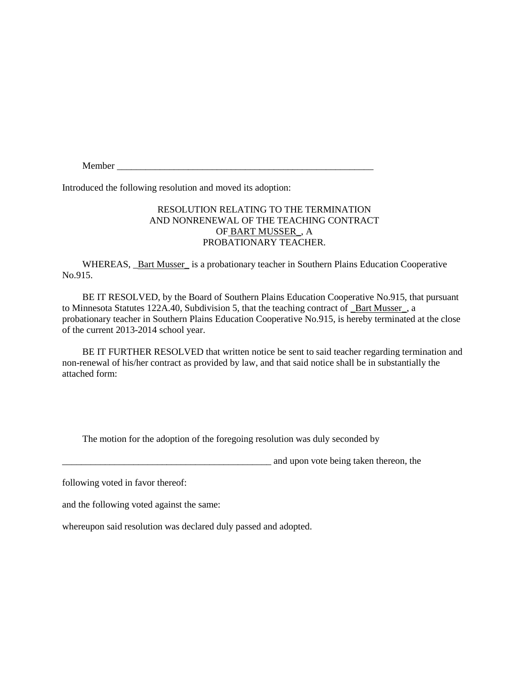Member

Introduced the following resolution and moved its adoption:

## RESOLUTION RELATING TO THE TERMINATION AND NONRENEWAL OF THE TEACHING CONTRACT OF BART MUSSER\_, A PROBATIONARY TEACHER.

WHEREAS, **\_Bart Musser\_** is a probationary teacher in Southern Plains Education Cooperative No.915.

BE IT RESOLVED, by the Board of Southern Plains Education Cooperative No.915, that pursuant to Minnesota Statutes 122A.40, Subdivision 5, that the teaching contract of \_Bart Musser\_, a probationary teacher in Southern Plains Education Cooperative No.915, is hereby terminated at the close of the current 2013-2014 school year.

BE IT FURTHER RESOLVED that written notice be sent to said teacher regarding termination and non-renewal of his/her contract as provided by law, and that said notice shall be in substantially the attached form:

The motion for the adoption of the foregoing resolution was duly seconded by

and upon vote being taken thereon, the

following voted in favor thereof:

and the following voted against the same:

whereupon said resolution was declared duly passed and adopted.